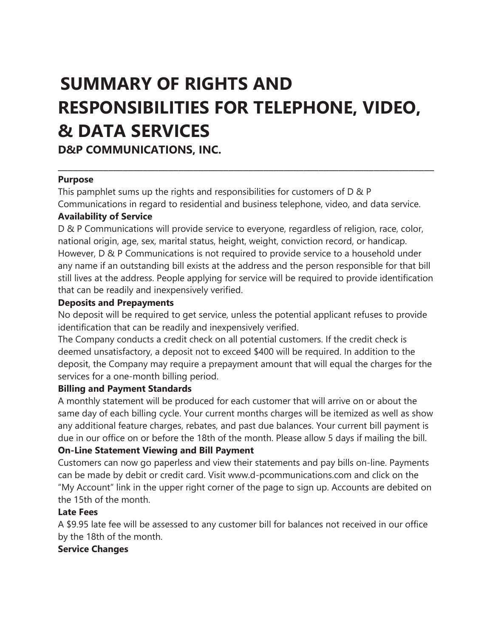# **SUMMARY OF RIGHTS AND RESPONSIBILITIES FOR TELEPHONE, VIDEO, & DATA SERVICES**

**D&P COMMUNICATIONS, INC.** 

#### **Purpose**

This pamphlet sums up the rights and responsibilities for customers of D & P Communications in regard to residential and business telephone, video, and data service. **Availability of Service** 

\_\_\_\_\_\_\_\_\_\_\_\_\_\_\_\_\_\_\_\_\_\_\_\_\_\_\_\_\_\_\_\_\_\_\_\_\_\_\_\_\_\_\_\_\_\_\_\_\_\_\_\_\_\_\_\_\_\_\_\_\_\_\_\_\_\_\_\_\_\_\_\_\_\_\_

D & P Communications will provide service to everyone, regardless of religion, race, color, national origin, age, sex, marital status, height, weight, conviction record, or handicap. However, D & P Communications is not required to provide service to a household under any name if an outstanding bill exists at the address and the person responsible for that bill still lives at the address. People applying for service will be required to provide identification that can be readily and inexpensively verified.

#### **Deposits and Prepayments**

No deposit will be required to get service, unless the potential applicant refuses to provide identification that can be readily and inexpensively verified.

The Company conducts a credit check on all potential customers. If the credit check is deemed unsatisfactory, a deposit not to exceed \$400 will be required. In addition to the deposit, the Company may require a prepayment amount that will equal the charges for the services for a one-month billing period.

#### **Billing and Payment Standards**

A monthly statement will be produced for each customer that will arrive on or about the same day of each billing cycle. Your current months charges will be itemized as well as show any additional feature charges, rebates, and past due balances. Your current bill payment is due in our office on or before the 18th of the month. Please allow 5 days if mailing the bill. **On-Line Statement Viewing and Bill Payment** 

# Customers can now go paperless and view their statements and pay bills on-line. Payments can be made by debit or credit card. Visit www.d-pcommunications.com and click on the "My Account" link in the upper right corner of the page to sign up. Accounts are debited on

the 15th of the month.

# **Late Fees**

A \$9.95 late fee will be assessed to any customer bill for balances not received in our office by the 18th of the month.

#### **Service Changes**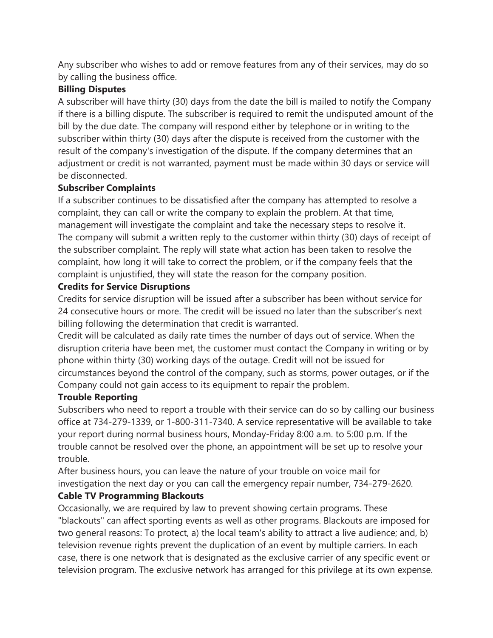Any subscriber who wishes to add or remove features from any of their services, may do so by calling the business office.

#### **Billing Disputes**

A subscriber will have thirty (30) days from the date the bill is mailed to notify the Company if there is a billing dispute. The subscriber is required to remit the undisputed amount of the bill by the due date. The company will respond either by telephone or in writing to the subscriber within thirty (30) days after the dispute is received from the customer with the result of the company's investigation of the dispute. If the company determines that an adjustment or credit is not warranted, payment must be made within 30 days or service will be disconnected.

#### **Subscriber Complaints**

If a subscriber continues to be dissatisfied after the company has attempted to resolve a complaint, they can call or write the company to explain the problem. At that time, management will investigate the complaint and take the necessary steps to resolve it. The company will submit a written reply to the customer within thirty (30) days of receipt of the subscriber complaint. The reply will state what action has been taken to resolve the complaint, how long it will take to correct the problem, or if the company feels that the complaint is unjustified, they will state the reason for the company position.

#### **Credits for Service Disruptions**

Credits for service disruption will be issued after a subscriber has been without service for 24 consecutive hours or more. The credit will be issued no later than the subscriber's next billing following the determination that credit is warranted.

Credit will be calculated as daily rate times the number of days out of service. When the disruption criteria have been met, the customer must contact the Company in writing or by phone within thirty (30) working days of the outage. Credit will not be issued for circumstances beyond the control of the company, such as storms, power outages, or if the Company could not gain access to its equipment to repair the problem.

# **Trouble Reporting**

Subscribers who need to report a trouble with their service can do so by calling our business office at 734-279-1339, or 1-800-311-7340. A service representative will be available to take your report during normal business hours, Monday-Friday 8:00 a.m. to 5:00 p.m. If the trouble cannot be resolved over the phone, an appointment will be set up to resolve your trouble.

After business hours, you can leave the nature of your trouble on voice mail for investigation the next day or you can call the emergency repair number, 734-279-2620.

# **Cable TV Programming Blackouts**

Occasionally, we are required by law to prevent showing certain programs. These "blackouts" can affect sporting events as well as other programs. Blackouts are imposed for two general reasons: To protect, a) the local team's ability to attract a live audience; and, b) television revenue rights prevent the duplication of an event by multiple carriers. In each case, there is one network that is designated as the exclusive carrier of any specific event or television program. The exclusive network has arranged for this privilege at its own expense.